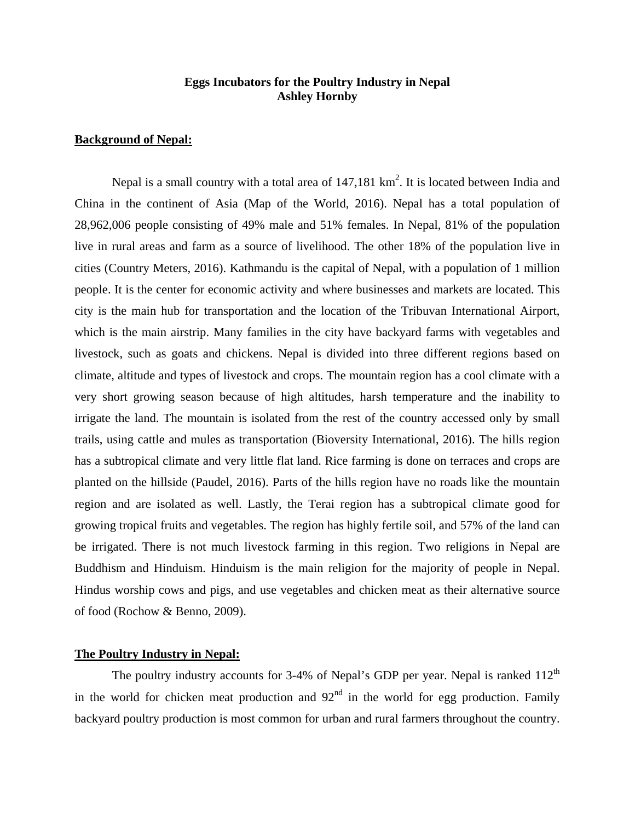## **Eggs Incubators for the Poultry Industry in Nepal Ashley Hornby**

## **Background of Nepal:**

Nepal is a small country with a total area of  $147,181 \text{ km}^2$ . It is located between India and China in the continent of Asia (Map of the World, 2016). Nepal has a total population of 28,962,006 people consisting of 49% male and 51% females. In Nepal, 81% of the population live in rural areas and farm as a source of livelihood. The other 18% of the population live in cities (Country Meters, 2016). Kathmandu is the capital of Nepal, with a population of 1 million people. It is the center for economic activity and where businesses and markets are located. This city is the main hub for transportation and the location of the Tribuvan International Airport, which is the main airstrip. Many families in the city have backyard farms with vegetables and livestock, such as goats and chickens. Nepal is divided into three different regions based on climate, altitude and types of livestock and crops. The mountain region has a cool climate with a very short growing season because of high altitudes, harsh temperature and the inability to irrigate the land. The mountain is isolated from the rest of the country accessed only by small trails, using cattle and mules as transportation (Bioversity International, 2016). The hills region has a subtropical climate and very little flat land. Rice farming is done on terraces and crops are planted on the hillside (Paudel, 2016). Parts of the hills region have no roads like the mountain region and are isolated as well. Lastly, the Terai region has a subtropical climate good for growing tropical fruits and vegetables. The region has highly fertile soil, and 57% of the land can be irrigated. There is not much livestock farming in this region. Two religions in Nepal are Buddhism and Hinduism. Hinduism is the main religion for the majority of people in Nepal. Hindus worship cows and pigs, and use vegetables and chicken meat as their alternative source of food (Rochow & Benno, 2009).

#### **The Poultry Industry in Nepal:**

The poultry industry accounts for 3-4% of Nepal's GDP per year. Nepal is ranked  $112<sup>th</sup>$ in the world for chicken meat production and  $92<sup>nd</sup>$  in the world for egg production. Family backyard poultry production is most common for urban and rural farmers throughout the country.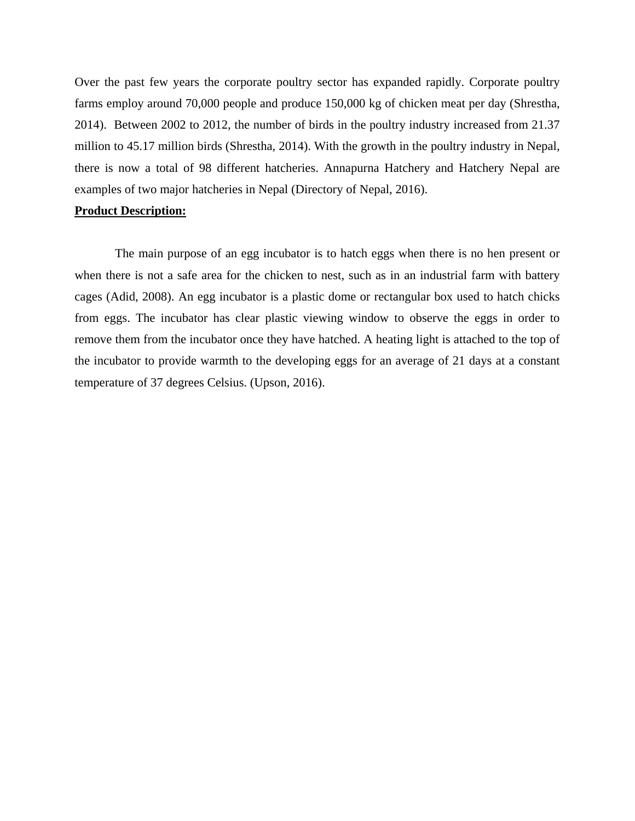Over the past few years the corporate poultry sector has expanded rapidly. Corporate poultry farms employ around 70,000 people and produce 150,000 kg of chicken meat per day (Shrestha, 2014). Between 2002 to 2012, the number of birds in the poultry industry increased from 21.37 million to 45.17 million birds (Shrestha, 2014). With the growth in the poultry industry in Nepal, there is now a total of 98 different hatcheries. Annapurna Hatchery and Hatchery Nepal are examples of two major hatcheries in Nepal (Directory of Nepal, 2016).

### **Product Description:**

The main purpose of an egg incubator is to hatch eggs when there is no hen present or when there is not a safe area for the chicken to nest, such as in an industrial farm with battery cages (Adid, 2008). An egg incubator is a plastic dome or rectangular box used to hatch chicks from eggs. The incubator has clear plastic viewing window to observe the eggs in order to remove them from the incubator once they have hatched. A heating light is attached to the top of the incubator to provide warmth to the developing eggs for an average of 21 days at a constant temperature of 37 degrees Celsius. (Upson, 2016).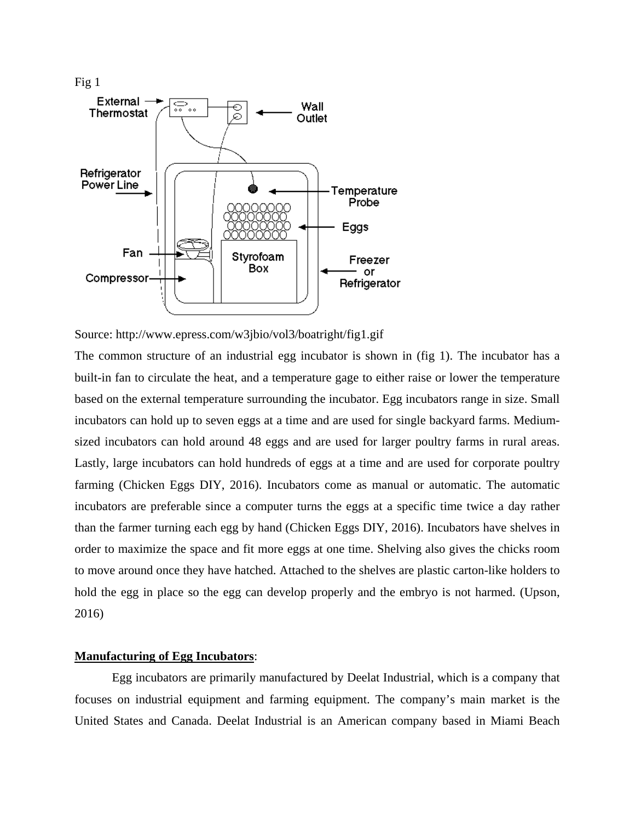

Source: http://www.epress.com/w3jbio/vol3/boatright/fig1.gif

The common structure of an industrial egg incubator is shown in (fig 1). The incubator has a built-in fan to circulate the heat, and a temperature gage to either raise or lower the temperature based on the external temperature surrounding the incubator. Egg incubators range in size. Small incubators can hold up to seven eggs at a time and are used for single backyard farms. Mediumsized incubators can hold around 48 eggs and are used for larger poultry farms in rural areas. Lastly, large incubators can hold hundreds of eggs at a time and are used for corporate poultry farming (Chicken Eggs DIY, 2016). Incubators come as manual or automatic. The automatic incubators are preferable since a computer turns the eggs at a specific time twice a day rather than the farmer turning each egg by hand (Chicken Eggs DIY, 2016). Incubators have shelves in order to maximize the space and fit more eggs at one time. Shelving also gives the chicks room to move around once they have hatched. Attached to the shelves are plastic carton-like holders to hold the egg in place so the egg can develop properly and the embryo is not harmed. (Upson, 2016)

#### **Manufacturing of Egg Incubators**:

Egg incubators are primarily manufactured by Deelat Industrial, which is a company that focuses on industrial equipment and farming equipment. The company's main market is the United States and Canada. Deelat Industrial is an American company based in Miami Beach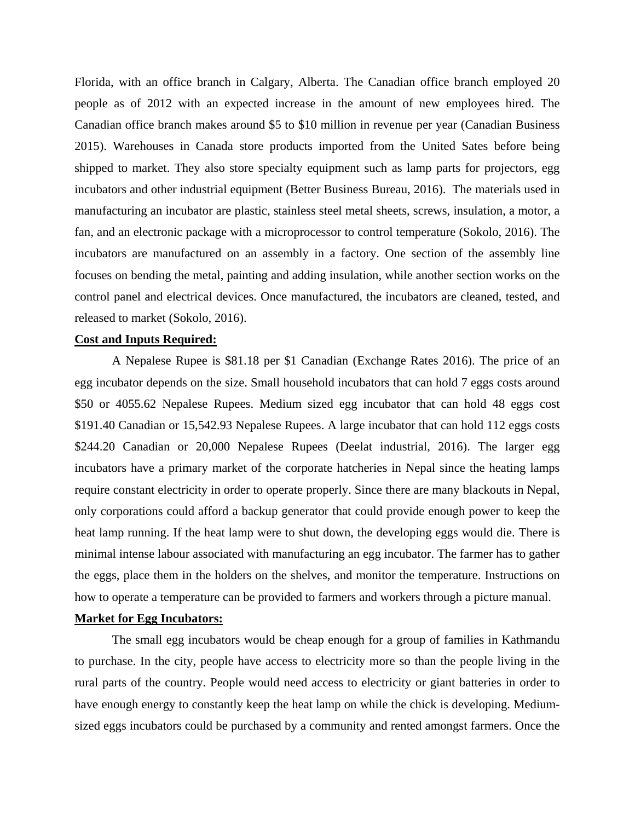Florida, with an office branch in Calgary, Alberta. The Canadian office branch employed 20 people as of 2012 with an expected increase in the amount of new employees hired. The Canadian office branch makes around \$5 to \$10 million in revenue per year (Canadian Business 2015). Warehouses in Canada store products imported from the United Sates before being shipped to market. They also store specialty equipment such as lamp parts for projectors, egg incubators and other industrial equipment (Better Business Bureau, 2016). The materials used in manufacturing an incubator are plastic, stainless steel metal sheets, screws, insulation, a motor, a fan, and an electronic package with a microprocessor to control temperature (Sokolo, 2016). The incubators are manufactured on an assembly in a factory. One section of the assembly line focuses on bending the metal, painting and adding insulation, while another section works on the control panel and electrical devices. Once manufactured, the incubators are cleaned, tested, and released to market (Sokolo, 2016).

#### **Cost and Inputs Required:**

A Nepalese Rupee is \$81.18 per \$1 Canadian (Exchange Rates 2016). The price of an egg incubator depends on the size. Small household incubators that can hold 7 eggs costs around \$50 or 4055.62 Nepalese Rupees. Medium sized egg incubator that can hold 48 eggs cost \$191.40 Canadian or 15,542.93 Nepalese Rupees. A large incubator that can hold 112 eggs costs \$244.20 Canadian or 20,000 Nepalese Rupees (Deelat industrial, 2016). The larger egg incubators have a primary market of the corporate hatcheries in Nepal since the heating lamps require constant electricity in order to operate properly. Since there are many blackouts in Nepal, only corporations could afford a backup generator that could provide enough power to keep the heat lamp running. If the heat lamp were to shut down, the developing eggs would die. There is minimal intense labour associated with manufacturing an egg incubator. The farmer has to gather the eggs, place them in the holders on the shelves, and monitor the temperature. Instructions on how to operate a temperature can be provided to farmers and workers through a picture manual.

## **Market for Egg Incubators:**

The small egg incubators would be cheap enough for a group of families in Kathmandu to purchase. In the city, people have access to electricity more so than the people living in the rural parts of the country. People would need access to electricity or giant batteries in order to have enough energy to constantly keep the heat lamp on while the chick is developing. Mediumsized eggs incubators could be purchased by a community and rented amongst farmers. Once the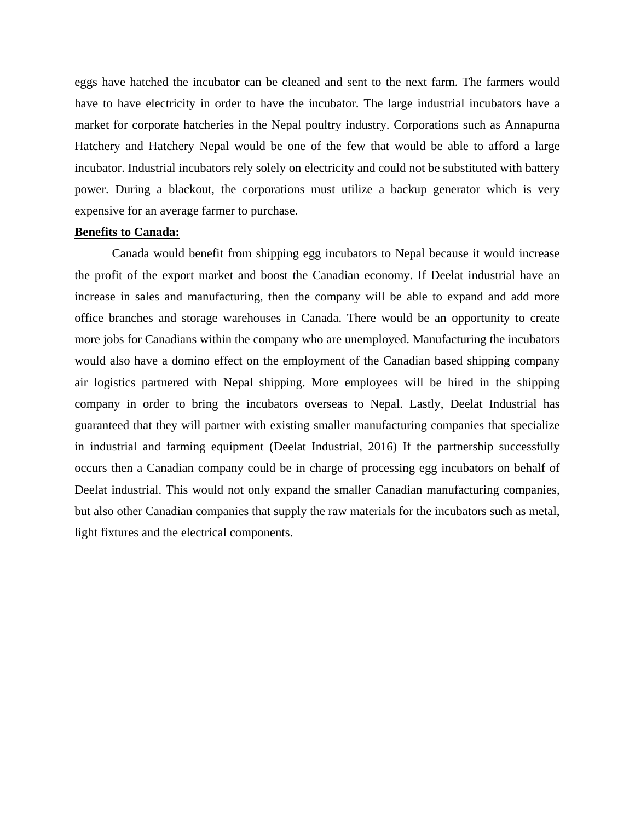eggs have hatched the incubator can be cleaned and sent to the next farm. The farmers would have to have electricity in order to have the incubator. The large industrial incubators have a market for corporate hatcheries in the Nepal poultry industry. Corporations such as Annapurna Hatchery and Hatchery Nepal would be one of the few that would be able to afford a large incubator. Industrial incubators rely solely on electricity and could not be substituted with battery power. During a blackout, the corporations must utilize a backup generator which is very expensive for an average farmer to purchase.

#### **Benefits to Canada:**

Canada would benefit from shipping egg incubators to Nepal because it would increase the profit of the export market and boost the Canadian economy. If Deelat industrial have an increase in sales and manufacturing, then the company will be able to expand and add more office branches and storage warehouses in Canada. There would be an opportunity to create more jobs for Canadians within the company who are unemployed. Manufacturing the incubators would also have a domino effect on the employment of the Canadian based shipping company air logistics partnered with Nepal shipping. More employees will be hired in the shipping company in order to bring the incubators overseas to Nepal. Lastly, Deelat Industrial has guaranteed that they will partner with existing smaller manufacturing companies that specialize in industrial and farming equipment (Deelat Industrial, 2016) If the partnership successfully occurs then a Canadian company could be in charge of processing egg incubators on behalf of Deelat industrial. This would not only expand the smaller Canadian manufacturing companies, but also other Canadian companies that supply the raw materials for the incubators such as metal, light fixtures and the electrical components.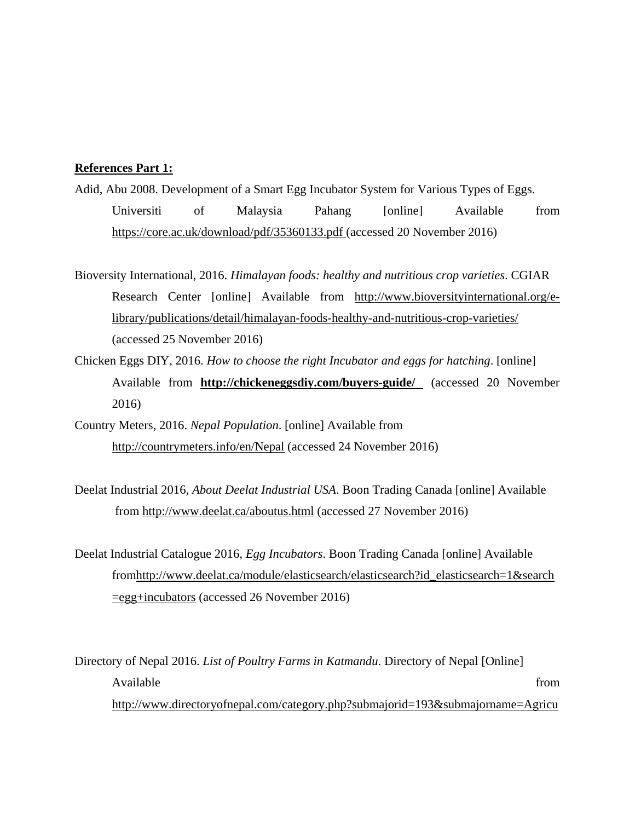## **References Part 1:**

- Adid, Abu 2008. Development of a Smart Egg Incubator System for Various Types of Eggs. Universiti of Malaysia Pahang [online] Available from <https://core.ac.uk/download/pdf/35360133.pdf> (accessed 20 November 2016)
- Bioversity International, 2016. *Himalayan foods: healthy and nutritious crop varieties*. CGIAR Research Center [online] Available from [http://www.bioversityinternational.org/e](http://www.bioversityinternational.org/e-library/publications/detail/himalayan-foods-healthy-and-nutritious-crop-varieties/)[library/publications/detail/himalayan-foods-healthy-and-nutritious-crop-varieties/](http://www.bioversityinternational.org/e-library/publications/detail/himalayan-foods-healthy-and-nutritious-crop-varieties/) (accessed 25 November 2016)
- Chicken Eggs DIY, 2016. *How to choose the right Incubator and eggs for hatching*. [online] Available from **<http://chickeneggsdiy.com/buyers-guide/>** (accessed 20 November 2016)
- Country Meters, 2016. *Nepal Population*. [online] Available from <http://countrymeters.info/en/Nepal> (accessed 24 November 2016)
- Deelat Industrial 2016, *About Deelat Industrial USA*. Boon Trading Canada [online] Available from<http://www.deelat.ca/aboutus.html> (accessed 27 November 2016)
- Deelat Industrial Catalogue 2016, *Egg Incubators*. Boon Trading Canada [online] Available fro[mhttp://www.deelat.ca/module/elasticsearch/elasticsearch?id\\_elasticsearch=1&search](http://www.deelat.ca/module/elasticsearch/elasticsearch?id_elasticsearch=1&search=egg+incubators) [=egg+incubators](http://www.deelat.ca/module/elasticsearch/elasticsearch?id_elasticsearch=1&search=egg+incubators) (accessed 26 November 2016)

Directory of Nepal 2016. *List of Poultry Farms in Katmandu*. Directory of Nepal [Online] Available from the state of  $\mathbb{R}^n$  and  $\mathbb{R}^n$  from the state of  $\mathbb{R}^n$  from the state of  $\mathbb{R}^n$  from the state of  $\mathbb{R}^n$  from the state of  $\mathbb{R}^n$  from the state of  $\mathbb{R}^n$  from the state of  $\mathbb{$ [http://www.directoryofnepal.com/category.php?submajorid=193&submajorname=Agricu](http://www.directoryofnepal.com/category.php?submajorid=193&submajorname=Agriculture&minorid=558&minorname=Poultry+Farm&district=Kathmandu)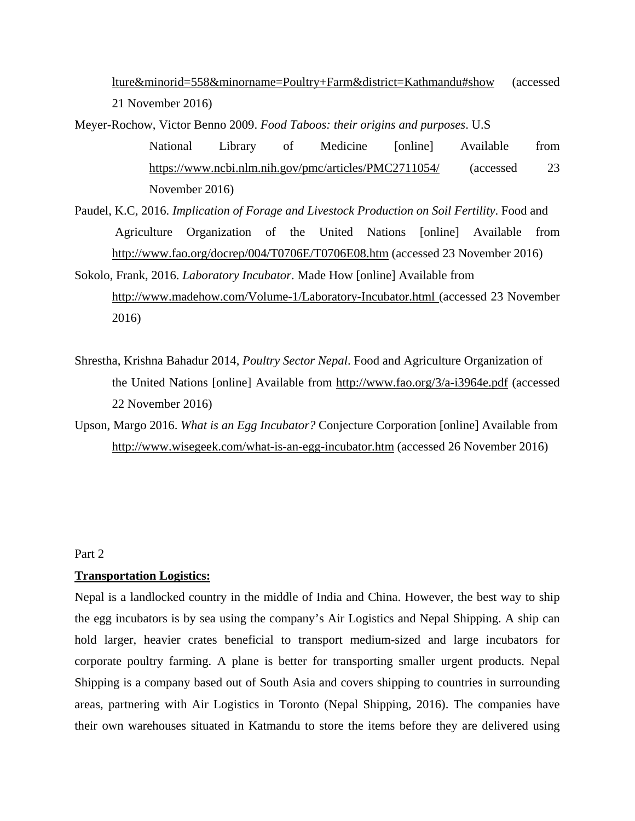[lture&minorid=558&minorname=Poultry+Farm&district=Kathmandu#show](http://www.directoryofnepal.com/category.php?submajorid=193&submajorname=Agriculture&minorid=558&minorname=Poultry+Farm&district=Kathmandu) (accessed 21 November 2016)

- Meyer-Rochow, Victor Benno 2009. *Food Taboos: their origins and purposes*. U.S National Library of Medicine [online] Available from <https://www.ncbi.nlm.nih.gov/pmc/articles/PMC2711054/> (accessed 23 November 2016)
- Paudel, K.C, 2016. *Implication of Forage and Livestock Production on Soil Fertility*. Food and Agriculture Organization of the United Nations [online] Available from <http://www.fao.org/docrep/004/T0706E/T0706E08.htm> (accessed 23 November 2016)
- Sokolo, Frank, 2016. *Laboratory Incubator*. Made How [online] Available from <http://www.madehow.com/Volume-1/Laboratory-Incubator.html> (accessed 23 November 2016)
- Shrestha, Krishna Bahadur 2014, *Poultry Sector Nepal*. Food and Agriculture Organization of the United Nations [online] Available from<http://www.fao.org/3/a-i3964e.pdf> (accessed 22 November 2016)
- Upson, Margo 2016. *What is an Egg Incubator?* Conjecture Corporation [online] Available from <http://www.wisegeek.com/what-is-an-egg-incubator.htm> (accessed 26 November 2016)

## Part 2

# **Transportation Logistics:**

Nepal is a landlocked country in the middle of India and China. However, the best way to ship the egg incubators is by sea using the company's Air Logistics and Nepal Shipping. A ship can hold larger, heavier crates beneficial to transport medium-sized and large incubators for corporate poultry farming. A plane is better for transporting smaller urgent products. Nepal Shipping is a company based out of South Asia and covers shipping to countries in surrounding areas, partnering with Air Logistics in Toronto (Nepal Shipping, 2016). The companies have their own warehouses situated in Katmandu to store the items before they are delivered using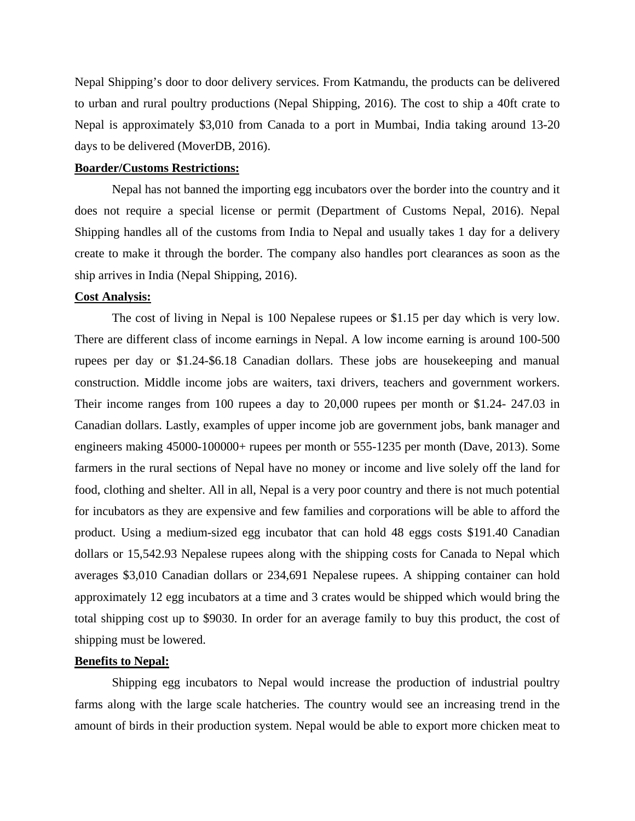Nepal Shipping's door to door delivery services. From Katmandu, the products can be delivered to urban and rural poultry productions (Nepal Shipping, 2016). The cost to ship a 40ft crate to Nepal is approximately \$3,010 from Canada to a port in Mumbai, India taking around 13-20 days to be delivered (MoverDB, 2016).

#### **Boarder/Customs Restrictions:**

Nepal has not banned the importing egg incubators over the border into the country and it does not require a special license or permit (Department of Customs Nepal, 2016). Nepal Shipping handles all of the customs from India to Nepal and usually takes 1 day for a delivery create to make it through the border. The company also handles port clearances as soon as the ship arrives in India (Nepal Shipping, 2016).

## **Cost Analysis:**

The cost of living in Nepal is 100 Nepalese rupees or \$1.15 per day which is very low. There are different class of income earnings in Nepal. A low income earning is around 100-500 rupees per day or \$1.24-\$6.18 Canadian dollars. These jobs are housekeeping and manual construction. Middle income jobs are waiters, taxi drivers, teachers and government workers. Their income ranges from 100 rupees a day to 20,000 rupees per month or \$1.24- 247.03 in Canadian dollars. Lastly, examples of upper income job are government jobs, bank manager and engineers making 45000-100000+ rupees per month or 555-1235 per month (Dave, 2013). Some farmers in the rural sections of Nepal have no money or income and live solely off the land for food, clothing and shelter. All in all, Nepal is a very poor country and there is not much potential for incubators as they are expensive and few families and corporations will be able to afford the product. Using a medium-sized egg incubator that can hold 48 eggs costs \$191.40 Canadian dollars or 15,542.93 Nepalese rupees along with the shipping costs for Canada to Nepal which averages \$3,010 Canadian dollars or 234,691 Nepalese rupees. A shipping container can hold approximately 12 egg incubators at a time and 3 crates would be shipped which would bring the total shipping cost up to \$9030. In order for an average family to buy this product, the cost of shipping must be lowered.

### **Benefits to Nepal:**

Shipping egg incubators to Nepal would increase the production of industrial poultry farms along with the large scale hatcheries. The country would see an increasing trend in the amount of birds in their production system. Nepal would be able to export more chicken meat to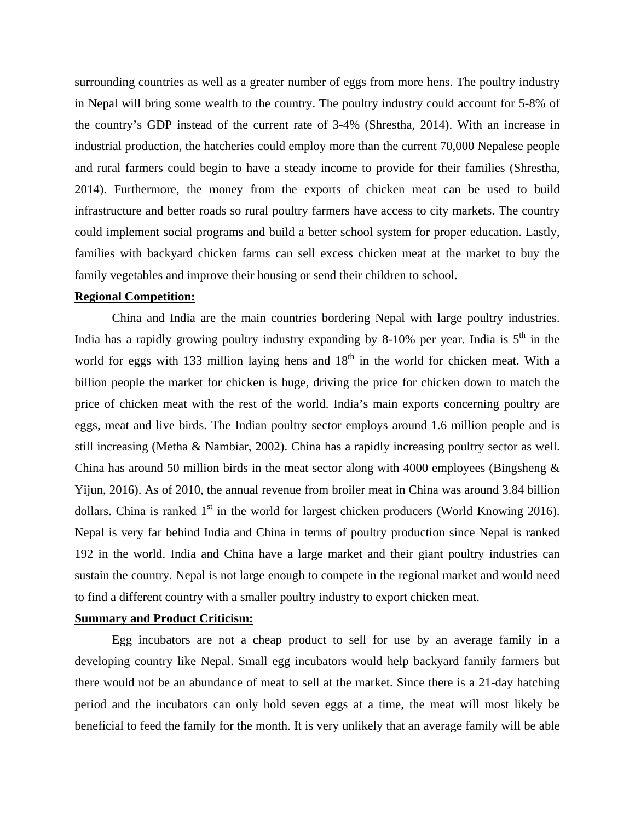surrounding countries as well as a greater number of eggs from more hens. The poultry industry in Nepal will bring some wealth to the country. The poultry industry could account for 5-8% of the country's GDP instead of the current rate of 3-4% (Shrestha, 2014). With an increase in industrial production, the hatcheries could employ more than the current 70,000 Nepalese people and rural farmers could begin to have a steady income to provide for their families (Shrestha, 2014). Furthermore, the money from the exports of chicken meat can be used to build infrastructure and better roads so rural poultry farmers have access to city markets. The country could implement social programs and build a better school system for proper education. Lastly, families with backyard chicken farms can sell excess chicken meat at the market to buy the family vegetables and improve their housing or send their children to school.

## **Regional Competition:**

China and India are the main countries bordering Nepal with large poultry industries. India has a rapidly growing poultry industry expanding by 8-10% per year. India is  $5<sup>th</sup>$  in the world for eggs with 133 million laying hens and  $18<sup>th</sup>$  in the world for chicken meat. With a billion people the market for chicken is huge, driving the price for chicken down to match the price of chicken meat with the rest of the world. India's main exports concerning poultry are eggs, meat and live birds. The Indian poultry sector employs around 1.6 million people and is still increasing (Metha & Nambiar, 2002). China has a rapidly increasing poultry sector as well. China has around 50 million birds in the meat sector along with 4000 employees (Bingsheng  $\&$ Yijun, 2016). As of 2010, the annual revenue from broiler meat in China was around 3.84 billion dollars. China is ranked  $1<sup>st</sup>$  in the world for largest chicken producers (World Knowing 2016). Nepal is very far behind India and China in terms of poultry production since Nepal is ranked 192 in the world. India and China have a large market and their giant poultry industries can sustain the country. Nepal is not large enough to compete in the regional market and would need to find a different country with a smaller poultry industry to export chicken meat.

## **Summary and Product Criticism:**

Egg incubators are not a cheap product to sell for use by an average family in a developing country like Nepal. Small egg incubators would help backyard family farmers but there would not be an abundance of meat to sell at the market. Since there is a 21-day hatching period and the incubators can only hold seven eggs at a time, the meat will most likely be beneficial to feed the family for the month. It is very unlikely that an average family will be able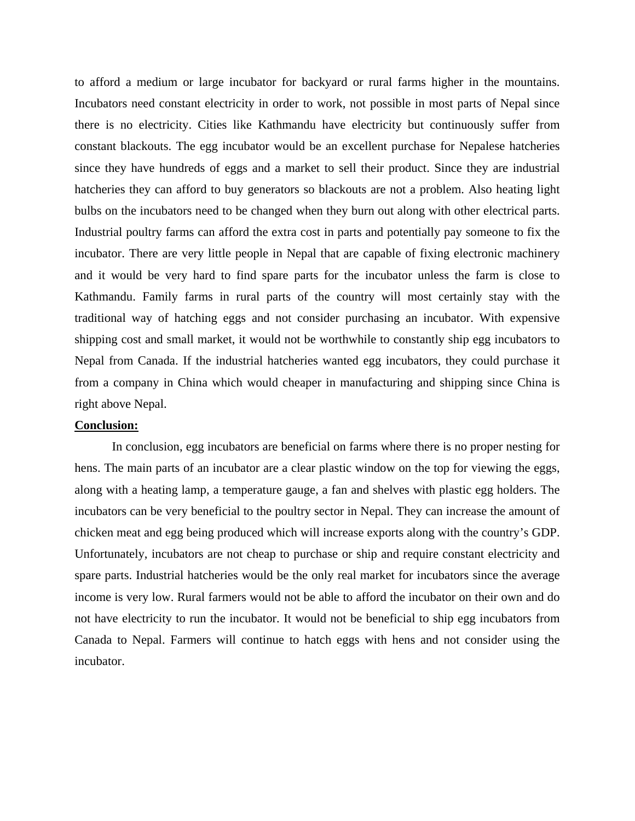to afford a medium or large incubator for backyard or rural farms higher in the mountains. Incubators need constant electricity in order to work, not possible in most parts of Nepal since there is no electricity. Cities like Kathmandu have electricity but continuously suffer from constant blackouts. The egg incubator would be an excellent purchase for Nepalese hatcheries since they have hundreds of eggs and a market to sell their product. Since they are industrial hatcheries they can afford to buy generators so blackouts are not a problem. Also heating light bulbs on the incubators need to be changed when they burn out along with other electrical parts. Industrial poultry farms can afford the extra cost in parts and potentially pay someone to fix the incubator. There are very little people in Nepal that are capable of fixing electronic machinery and it would be very hard to find spare parts for the incubator unless the farm is close to Kathmandu. Family farms in rural parts of the country will most certainly stay with the traditional way of hatching eggs and not consider purchasing an incubator. With expensive shipping cost and small market, it would not be worthwhile to constantly ship egg incubators to Nepal from Canada. If the industrial hatcheries wanted egg incubators, they could purchase it from a company in China which would cheaper in manufacturing and shipping since China is right above Nepal.

#### **Conclusion:**

In conclusion, egg incubators are beneficial on farms where there is no proper nesting for hens. The main parts of an incubator are a clear plastic window on the top for viewing the eggs, along with a heating lamp, a temperature gauge, a fan and shelves with plastic egg holders. The incubators can be very beneficial to the poultry sector in Nepal. They can increase the amount of chicken meat and egg being produced which will increase exports along with the country's GDP. Unfortunately, incubators are not cheap to purchase or ship and require constant electricity and spare parts. Industrial hatcheries would be the only real market for incubators since the average income is very low. Rural farmers would not be able to afford the incubator on their own and do not have electricity to run the incubator. It would not be beneficial to ship egg incubators from Canada to Nepal. Farmers will continue to hatch eggs with hens and not consider using the incubator.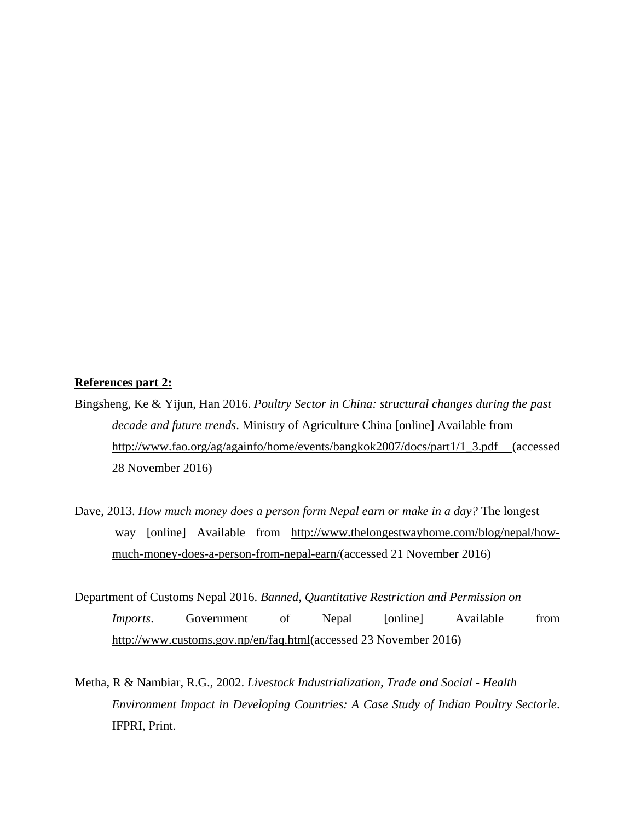#### **References part 2:**

- Bingsheng, Ke & Yijun, Han 2016. *Poultry Sector in China: structural changes during the past decade and future trends*. Ministry of Agriculture China [online] Available from [http://www.fao.org/ag/againfo/home/events/bangkok2007/docs/part1/1\\_3.pdf](http://www.fao.org/ag/againfo/home/events/bangkok2007/docs/part1/1_3.pdf) (accessed 28 November 2016)
- Dave, 2013. *How much money does a person form Nepal earn or make in a day?* The longest way [online] Available from [http://www.thelongestwayhome.com/blog/nepal/how](http://www.thelongestwayhome.com/blog/nepal/how-much-money-does-a-person-from-nepal-earn/)[much-money-does-a-person-from-nepal-earn/\(](http://www.thelongestwayhome.com/blog/nepal/how-much-money-does-a-person-from-nepal-earn/)accessed 21 November 2016)
- Department of Customs Nepal 2016. *Banned, Quantitative Restriction and Permission on Imports*. Government of Nepal [online] Available from [http://www.customs.gov.np/en/faq.html\(](http://www.customs.gov.np/en/faq.html)accessed 23 November 2016)
- Metha, R & Nambiar, R.G., 2002. *Livestock Industrialization, Trade and Social - Health Environment Impact in Developing Countries: A Case Study of Indian Poultry Sectorle*. IFPRI, Print.